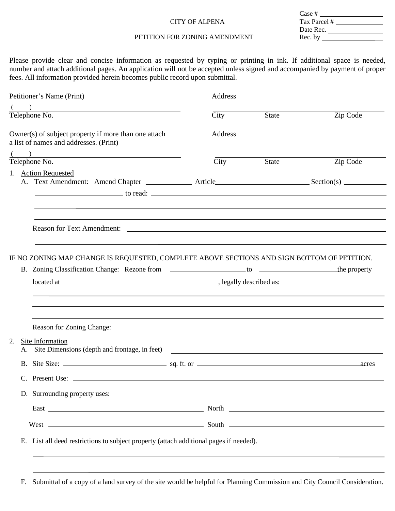## CITY OF ALPENA

| Case #       |  |
|--------------|--|
| Tax Parcel # |  |
| Date Rec.    |  |
| Rec. by      |  |
|              |  |

# PETITION FOR ZONING AMENDMENT

Please provide clear and concise information as requested by typing or printing in ink. If additional space is needed, number and attach additional pages. An application will not be accepted unless signed and accompanied by payment of proper fees. All information provided herein becomes public record upon submittal.

| Petitioner's Name (Print)                                                                                          | Address                  |       |          |  |  |  |  |  |  |  |  |
|--------------------------------------------------------------------------------------------------------------------|--------------------------|-------|----------|--|--|--|--|--|--|--|--|
| $\frac{(1)}{1}$<br>Telephone No.                                                                                   | City                     | State | Zip Code |  |  |  |  |  |  |  |  |
| $\overline{\text{Owner}}(s)$ of subject property if more than one attach<br>a list of names and addresses. (Print) | <b>Address</b>           |       |          |  |  |  |  |  |  |  |  |
| $\frac{()}{$<br>Telephone No.                                                                                      | $\overline{\text{City}}$ | State | Zip Code |  |  |  |  |  |  |  |  |
| 1. Action Requested                                                                                                |                          |       |          |  |  |  |  |  |  |  |  |
|                                                                                                                    |                          |       |          |  |  |  |  |  |  |  |  |
|                                                                                                                    |                          |       |          |  |  |  |  |  |  |  |  |
| IF NO ZONING MAP CHANGE IS REQUESTED, COMPLETE ABOVE SECTIONS AND SIGN BOTTOM OF PETITION.                         |                          |       |          |  |  |  |  |  |  |  |  |
|                                                                                                                    |                          |       |          |  |  |  |  |  |  |  |  |
|                                                                                                                    |                          |       |          |  |  |  |  |  |  |  |  |
| Reason for Zoning Change:                                                                                          |                          |       |          |  |  |  |  |  |  |  |  |
| 2.<br>Site Information<br>Site Dimensions (depth and frontage, in feet) __________________________________<br>А.   |                          |       |          |  |  |  |  |  |  |  |  |
|                                                                                                                    |                          |       | acres    |  |  |  |  |  |  |  |  |
| C. Present Use:                                                                                                    |                          |       |          |  |  |  |  |  |  |  |  |
| D. Surrounding property uses:                                                                                      |                          |       |          |  |  |  |  |  |  |  |  |
|                                                                                                                    |                          |       |          |  |  |  |  |  |  |  |  |
|                                                                                                                    |                          |       |          |  |  |  |  |  |  |  |  |
| E. List all deed restrictions to subject property (attach additional pages if needed).                             |                          |       |          |  |  |  |  |  |  |  |  |

F. Submittal of a copy of a land survey of the site would be helpful for Planning Commission and City Council Consideration.